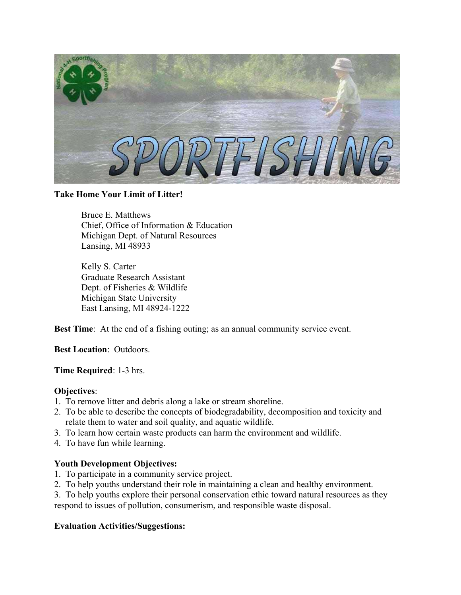

### **Take Home Your Limit of Litter!**

Bruce E. Matthews Chief, Office of Information & Education Michigan Dept. of Natural Resources Lansing, MI 48933

Kelly S. Carter Graduate Research Assistant Dept. of Fisheries & Wildlife Michigan State University East Lansing, MI 48924-1222

**Best Time**: At the end of a fishing outing; as an annual community service event.

**Best Location**: Outdoors.

**Time Required**: 1-3 hrs.

## **Objectives**:

- 1. To remove litter and debris along a lake or stream shoreline.
- 2. To be able to describe the concepts of biodegradability, decomposition and toxicity and relate them to water and soil quality, and aquatic wildlife.
- 3. To learn how certain waste products can harm the environment and wildlife.
- 4. To have fun while learning.

## **Youth Development Objectives:**

- 1. To participate in a community service project.
- 2. To help youths understand their role in maintaining a clean and healthy environment.
- 3. To help youths explore their personal conservation ethic toward natural resources as they respond to issues of pollution, consumerism, and responsible waste disposal.

### **Evaluation Activities/Suggestions:**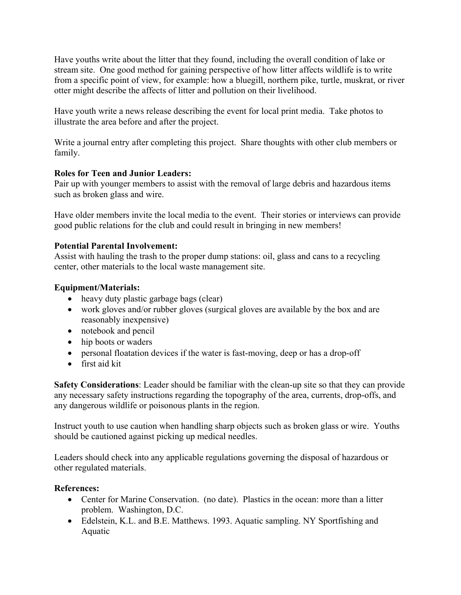Have youths write about the litter that they found, including the overall condition of lake or stream site. One good method for gaining perspective of how litter affects wildlife is to write from a specific point of view, for example: how a bluegill, northern pike, turtle, muskrat, or river otter might describe the affects of litter and pollution on their livelihood.

Have youth write a news release describing the event for local print media. Take photos to illustrate the area before and after the project.

Write a journal entry after completing this project. Share thoughts with other club members or family.

## **Roles for Teen and Junior Leaders:**

Pair up with younger members to assist with the removal of large debris and hazardous items such as broken glass and wire.

Have older members invite the local media to the event. Their stories or interviews can provide good public relations for the club and could result in bringing in new members!

## **Potential Parental Involvement:**

Assist with hauling the trash to the proper dump stations: oil, glass and cans to a recycling center, other materials to the local waste management site.

# **Equipment/Materials:**

- heavy duty plastic garbage bags (clear)
- work gloves and/or rubber gloves (surgical gloves are available by the box and are reasonably inexpensive)
- notebook and pencil
- hip boots or waders
- personal floatation devices if the water is fast-moving, deep or has a drop-off
- first aid kit

**Safety Considerations**: Leader should be familiar with the clean-up site so that they can provide any necessary safety instructions regarding the topography of the area, currents, drop-offs, and any dangerous wildlife or poisonous plants in the region.

Instruct youth to use caution when handling sharp objects such as broken glass or wire. Youths should be cautioned against picking up medical needles.

Leaders should check into any applicable regulations governing the disposal of hazardous or other regulated materials.

# **References:**

- Center for Marine Conservation. (no date). Plastics in the ocean: more than a litter problem. Washington, D.C.
- Edelstein, K.L. and B.E. Matthews. 1993. Aquatic sampling. NY Sportfishing and Aquatic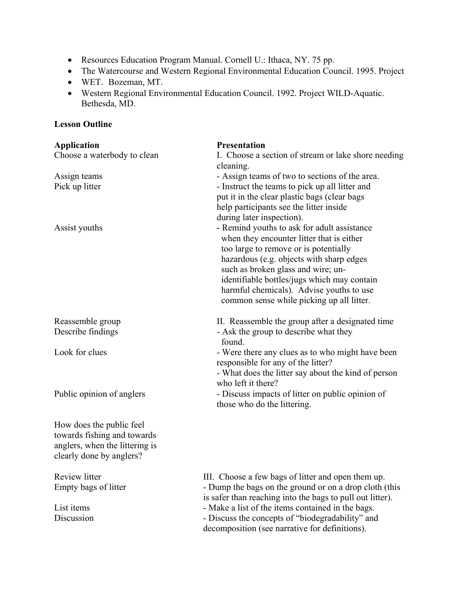- Resources Education Program Manual. Cornell U.: Ithaca, NY. 75 pp.
- The Watercourse and Western Regional Environmental Education Council. 1995. Project
- WET. Bozeman, MT.
- Western Regional Environmental Education Council. 1992. Project WILD-Aquatic. Bethesda, MD.

# **Lesson Outline**

| <b>Application</b>             | <b>Presentation</b>                                       |
|--------------------------------|-----------------------------------------------------------|
| Choose a waterbody to clean    | I. Choose a section of stream or lake shore needing       |
|                                | cleaning.                                                 |
| Assign teams                   | - Assign teams of two to sections of the area.            |
| Pick up litter                 | - Instruct the teams to pick up all litter and            |
|                                | put it in the clear plastic bags (clear bags              |
|                                | help participants see the litter inside                   |
|                                | during later inspection).                                 |
| Assist youths                  | - Remind youths to ask for adult assistance               |
|                                | when they encounter litter that is either                 |
|                                | too large to remove or is potentially                     |
|                                | hazardous (e.g. objects with sharp edges                  |
|                                | such as broken glass and wire; un-                        |
|                                | identifiable bottles/jugs which may contain               |
|                                | harmful chemicals). Advise youths to use                  |
|                                | common sense while picking up all litter.                 |
| Reassemble group               | II. Reassemble the group after a designated time          |
| Describe findings              | - Ask the group to describe what they<br>found.           |
| Look for clues                 | - Were there any clues as to who might have been          |
|                                | responsible for any of the litter?                        |
|                                | - What does the litter say about the kind of person       |
|                                | who left it there?                                        |
| Public opinion of anglers      | - Discuss impacts of litter on public opinion of          |
|                                | those who do the littering.                               |
|                                |                                                           |
| How does the public feel       |                                                           |
| towards fishing and towards    |                                                           |
| anglers, when the littering is |                                                           |
| clearly done by anglers?       |                                                           |
| Review litter                  | III. Choose a few bags of litter and open them up.        |
| Empty bags of litter           | - Dump the bags on the ground or on a drop cloth (this    |
|                                | is safer than reaching into the bags to pull out litter). |
| List items                     | - Make a list of the items contained in the bags.         |
| Discussion                     | - Discuss the concepts of "biodegradability" and          |
|                                | decomposition (see narrative for definitions).            |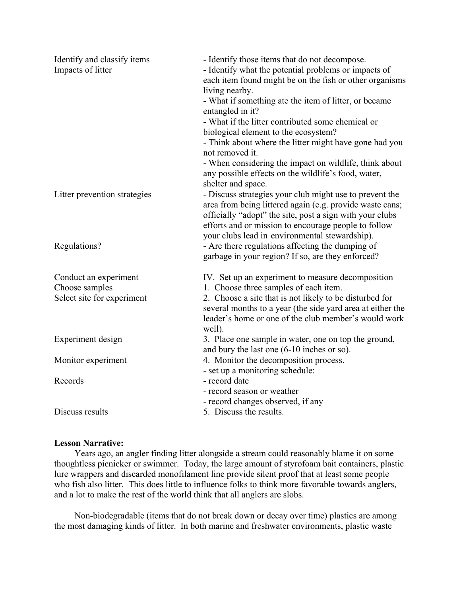| Identify and classify items<br>Impacts of litter                      | - Identify those items that do not decompose.<br>- Identify what the potential problems or impacts of<br>each item found might be on the fish or other organisms<br>living nearby.<br>- What if something ate the item of litter, or became<br>entangled in it?<br>- What if the litter contributed some chemical or<br>biological element to the ecosystem?<br>- Think about where the litter might have gone had you<br>not removed it.<br>- When considering the impact on wildlife, think about<br>any possible effects on the wildlife's food, water,<br>shelter and space. |
|-----------------------------------------------------------------------|----------------------------------------------------------------------------------------------------------------------------------------------------------------------------------------------------------------------------------------------------------------------------------------------------------------------------------------------------------------------------------------------------------------------------------------------------------------------------------------------------------------------------------------------------------------------------------|
| Litter prevention strategies                                          | - Discuss strategies your club might use to prevent the<br>area from being littered again (e.g. provide waste cans;<br>officially "adopt" the site, post a sign with your clubs<br>efforts and or mission to encourage people to follow<br>your clubs lead in environmental stewardship).                                                                                                                                                                                                                                                                                        |
| Regulations?                                                          | - Are there regulations affecting the dumping of<br>garbage in your region? If so, are they enforced?                                                                                                                                                                                                                                                                                                                                                                                                                                                                            |
| Conduct an experiment<br>Choose samples<br>Select site for experiment | IV. Set up an experiment to measure decomposition<br>1. Choose three samples of each item.<br>2. Choose a site that is not likely to be disturbed for<br>several months to a year (the side yard area at either the<br>leader's home or one of the club member's would work<br>well).                                                                                                                                                                                                                                                                                            |
| Experiment design                                                     | 3. Place one sample in water, one on top the ground,<br>and bury the last one (6-10 inches or so).                                                                                                                                                                                                                                                                                                                                                                                                                                                                               |
| Monitor experiment                                                    | 4. Monitor the decomposition process.<br>- set up a monitoring schedule:                                                                                                                                                                                                                                                                                                                                                                                                                                                                                                         |
| Records                                                               | - record date<br>- record season or weather<br>- record changes observed, if any                                                                                                                                                                                                                                                                                                                                                                                                                                                                                                 |
| Discuss results                                                       | 5. Discuss the results.                                                                                                                                                                                                                                                                                                                                                                                                                                                                                                                                                          |

#### **Lesson Narrative:**

 Years ago, an angler finding litter alongside a stream could reasonably blame it on some thoughtless picnicker or swimmer. Today, the large amount of styrofoam bait containers, plastic lure wrappers and discarded monofilament line provide silent proof that at least some people who fish also litter. This does little to influence folks to think more favorable towards anglers, and a lot to make the rest of the world think that all anglers are slobs.

 Non-biodegradable (items that do not break down or decay over time) plastics are among the most damaging kinds of litter. In both marine and freshwater environments, plastic waste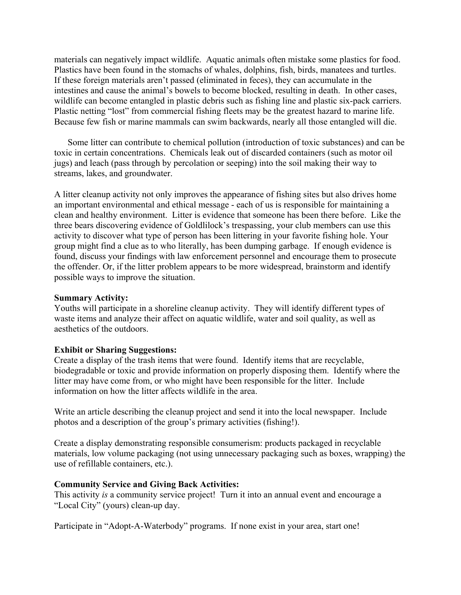materials can negatively impact wildlife. Aquatic animals often mistake some plastics for food. Plastics have been found in the stomachs of whales, dolphins, fish, birds, manatees and turtles. If these foreign materials aren't passed (eliminated in feces), they can accumulate in the intestines and cause the animal's bowels to become blocked, resulting in death. In other cases, wildlife can become entangled in plastic debris such as fishing line and plastic six-pack carriers. Plastic netting "lost" from commercial fishing fleets may be the greatest hazard to marine life. Because few fish or marine mammals can swim backwards, nearly all those entangled will die.

 Some litter can contribute to chemical pollution (introduction of toxic substances) and can be toxic in certain concentrations. Chemicals leak out of discarded containers (such as motor oil jugs) and leach (pass through by percolation or seeping) into the soil making their way to streams, lakes, and groundwater.

A litter cleanup activity not only improves the appearance of fishing sites but also drives home an important environmental and ethical message - each of us is responsible for maintaining a clean and healthy environment. Litter is evidence that someone has been there before. Like the three bears discovering evidence of Goldlilock's trespassing, your club members can use this activity to discover what type of person has been littering in your favorite fishing hole. Your group might find a clue as to who literally, has been dumping garbage. If enough evidence is found, discuss your findings with law enforcement personnel and encourage them to prosecute the offender. Or, if the litter problem appears to be more widespread, brainstorm and identify possible ways to improve the situation.

#### **Summary Activity:**

Youths will participate in a shoreline cleanup activity. They will identify different types of waste items and analyze their affect on aquatic wildlife, water and soil quality, as well as aesthetics of the outdoors.

### **Exhibit or Sharing Suggestions:**

Create a display of the trash items that were found. Identify items that are recyclable, biodegradable or toxic and provide information on properly disposing them. Identify where the litter may have come from, or who might have been responsible for the litter. Include information on how the litter affects wildlife in the area.

Write an article describing the cleanup project and send it into the local newspaper. Include photos and a description of the group's primary activities (fishing!).

Create a display demonstrating responsible consumerism: products packaged in recyclable materials, low volume packaging (not using unnecessary packaging such as boxes, wrapping) the use of refillable containers, etc.).

### **Community Service and Giving Back Activities:**

This activity *is* a community service project! Turn it into an annual event and encourage a "Local City" (yours) clean-up day.

Participate in "Adopt-A-Waterbody" programs. If none exist in your area, start one!